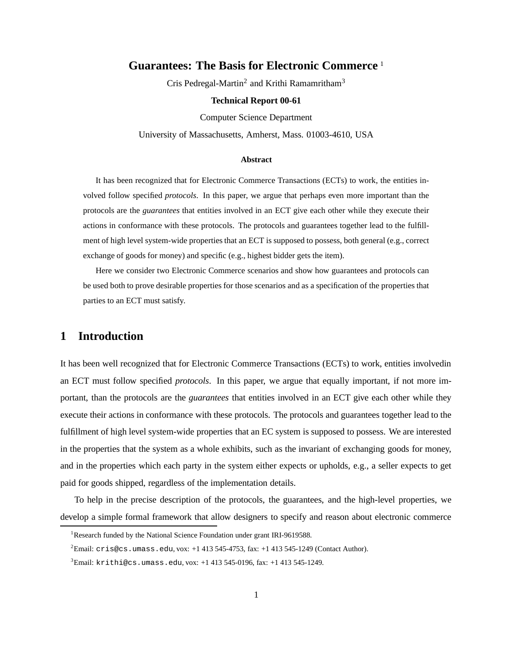# **Guarantees: The Basis for Electronic Commerce** <sup>1</sup>

Cris Pedregal-Martin<sup>2</sup> and Krithi Ramamritham<sup>3</sup>

### **Technical Report 00-61**

Computer Science Department

University of Massachusetts, Amherst, Mass. 01003-4610, USA

#### **Abstract**

It has been recognized that for Electronic Commerce Transactions (ECTs) to work, the entities involved follow specified *protocols*. In this paper, we argue that perhaps even more important than the protocols are the *guarantees* that entities involved in an ECT give each other while they execute their actions in conformance with these protocols. The protocols and guarantees together lead to the fulfillment of high level system-wide properties that an ECT is supposed to possess, both general (e.g., correct exchange of goods for money) and specific (e.g., highest bidder gets the item).

Here we consider two Electronic Commerce scenarios and show how guarantees and protocols can be used both to prove desirable properties for those scenarios and as a specification of the properties that parties to an ECT must satisfy.

# **1 Introduction**

It has been well recognized that for Electronic Commerce Transactions (ECTs) to work, entities involvedin an ECT must follow specified *protocols*. In this paper, we argue that equally important, if not more important, than the protocols are the *guarantees* that entities involved in an ECT give each other while they execute their actions in conformance with these protocols. The protocols and guarantees together lead to the fulfillment of high level system-wide properties that an EC system is supposed to possess. We are interested in the properties that the system as a whole exhibits, such as the invariant of exchanging goods for money, and in the properties which each party in the system either expects or upholds, e.g., a seller expects to get paid for goods shipped, regardless of the implementation details.

To help in the precise description of the protocols, the guarantees, and the high-level properties, we develop a simple formal framework that allow designers to specify and reason about electronic commerce

<sup>&</sup>lt;sup>1</sup>Research funded by the National Science Foundation under grant IRI-9619588.

 ${}^{2}$ Email: cris@cs.umass.edu, vox: +1 413 545-4753, fax: +1 413 545-1249 (Contact Author).

<sup>3</sup>Email: krithi@cs.umass.edu, vox: +1 413 545-0196, fax: +1 413 545-1249.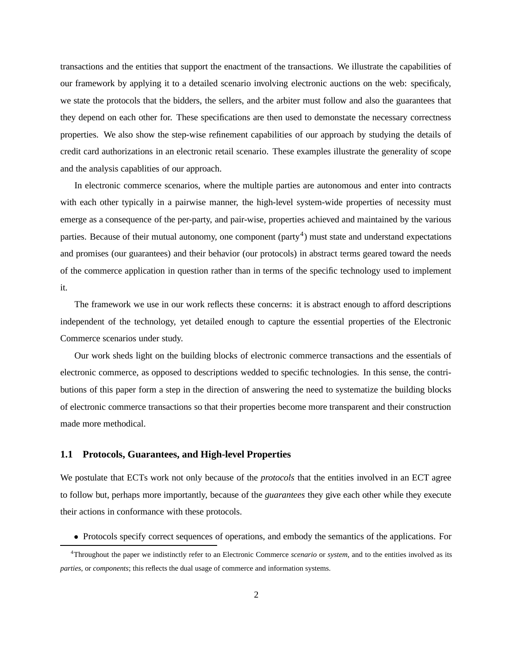transactions and the entities that support the enactment of the transactions. We illustrate the capabilities of our framework by applying it to a detailed scenario involving electronic auctions on the web: specificaly, we state the protocols that the bidders, the sellers, and the arbiter must follow and also the guarantees that they depend on each other for. These specifications are then used to demonstate the necessary correctness properties. We also show the step-wise refinement capabilities of our approach by studying the details of credit card authorizations in an electronic retail scenario. These examples illustrate the generality of scope and the analysis capablities of our approach.

In electronic commerce scenarios, where the multiple parties are autonomous and enter into contracts with each other typically in a pairwise manner, the high-level system-wide properties of necessity must emerge as a consequence of the per-party, and pair-wise, properties achieved and maintained by the various parties. Because of their mutual autonomy, one component (party<sup>4</sup>) must state and understand expectations and promises (our guarantees) and their behavior (our protocols) in abstract terms geared toward the needs of the commerce application in question rather than in terms of the specific technology used to implement it.

The framework we use in our work reflects these concerns: it is abstract enough to afford descriptions independent of the technology, yet detailed enough to capture the essential properties of the Electronic Commerce scenarios under study.

Our work sheds light on the building blocks of electronic commerce transactions and the essentials of electronic commerce, as opposed to descriptions wedded to specific technologies. In this sense, the contributions of this paper form a step in the direction of answering the need to systematize the building blocks of electronic commerce transactions so that their properties become more transparent and their construction made more methodical.

#### **1.1 Protocols, Guarantees, and High-level Properties**

We postulate that ECTs work not only because of the *protocols* that the entities involved in an ECT agree to follow but, perhaps more importantly, because of the *guarantees* they give each other while they execute their actions in conformance with these protocols.

Protocols specify correct sequences of operations, and embody the semantics of the applications. For

<sup>4</sup>Throughout the paper we indistinctly refer to an Electronic Commerce *scenario* or *system*, and to the entities involved as its *parties*, or *components*; this reflects the dual usage of commerce and information systems.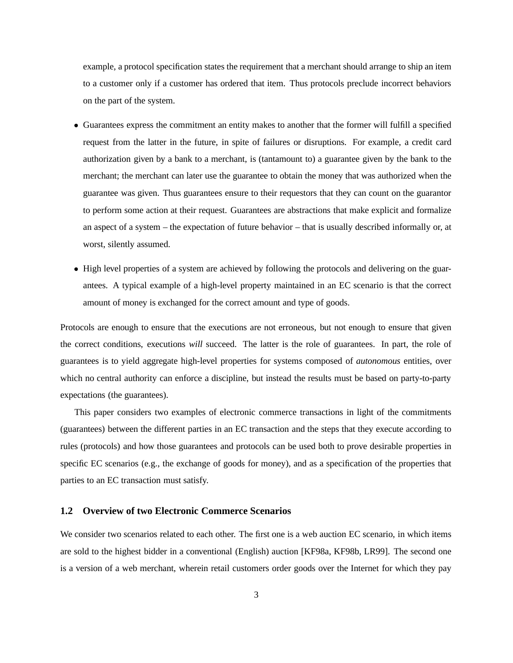example, a protocol specification states the requirement that a merchant should arrange to ship an item to a customer only if a customer has ordered that item. Thus protocols preclude incorrect behaviors on the part of the system.

- Guarantees express the commitment an entity makes to another that the former will fulfill a specified request from the latter in the future, in spite of failures or disruptions. For example, a credit card authorization given by a bank to a merchant, is (tantamount to) a guarantee given by the bank to the merchant; the merchant can later use the guarantee to obtain the money that was authorized when the guarantee was given. Thus guarantees ensure to their requestors that they can count on the guarantor to perform some action at their request. Guarantees are abstractions that make explicit and formalize an aspect of a system – the expectation of future behavior – that is usually described informally or, at worst, silently assumed.
- High level properties of a system are achieved by following the protocols and delivering on the guarantees. A typical example of a high-level property maintained in an EC scenario is that the correct amount of money is exchanged for the correct amount and type of goods.

Protocols are enough to ensure that the executions are not erroneous, but not enough to ensure that given the correct conditions, executions *will* succeed. The latter is the role of guarantees. In part, the role of guarantees is to yield aggregate high-level properties for systems composed of *autonomous* entities, over which no central authority can enforce a discipline, but instead the results must be based on party-to-party expectations (the guarantees).

This paper considers two examples of electronic commerce transactions in light of the commitments (guarantees) between the different parties in an EC transaction and the steps that they execute according to rules (protocols) and how those guarantees and protocols can be used both to prove desirable properties in specific EC scenarios (e.g., the exchange of goods for money), and as a specification of the properties that parties to an EC transaction must satisfy.

## **1.2 Overview of two Electronic Commerce Scenarios**

We consider two scenarios related to each other. The first one is a web auction EC scenario, in which items are sold to the highest bidder in a conventional (English) auction [KF98a, KF98b, LR99]. The second one is a version of a web merchant, wherein retail customers order goods over the Internet for which they pay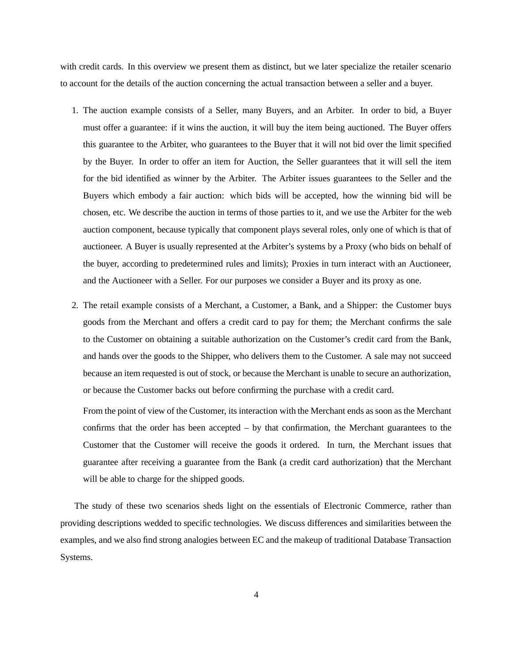with credit cards. In this overview we present them as distinct, but we later specialize the retailer scenario to account for the details of the auction concerning the actual transaction between a seller and a buyer.

- 1. The auction example consists of a Seller, many Buyers, and an Arbiter. In order to bid, a Buyer must offer a guarantee: if it wins the auction, it will buy the item being auctioned. The Buyer offers this guarantee to the Arbiter, who guarantees to the Buyer that it will not bid over the limit specified by the Buyer. In order to offer an item for Auction, the Seller guarantees that it will sell the item for the bid identified as winner by the Arbiter. The Arbiter issues guarantees to the Seller and the Buyers which embody a fair auction: which bids will be accepted, how the winning bid will be chosen, etc. We describe the auction in terms of those parties to it, and we use the Arbiter for the web auction component, because typically that component plays several roles, only one of which is that of auctioneer. A Buyer is usually represented at the Arbiter's systems by a Proxy (who bids on behalf of the buyer, according to predetermined rules and limits); Proxies in turn interact with an Auctioneer, and the Auctioneer with a Seller. For our purposes we consider a Buyer and its proxy as one.
- 2. The retail example consists of a Merchant, a Customer, a Bank, and a Shipper: the Customer buys goods from the Merchant and offers a credit card to pay for them; the Merchant confirms the sale to the Customer on obtaining a suitable authorization on the Customer's credit card from the Bank, and hands over the goods to the Shipper, who delivers them to the Customer. A sale may not succeed because an item requested is out of stock, or because the Merchant is unable to secure an authorization, or because the Customer backs out before confirming the purchase with a credit card.

From the point of view of the Customer, its interaction with the Merchant ends as soon as the Merchant confirms that the order has been accepted – by that confirmation, the Merchant guarantees to the Customer that the Customer will receive the goods it ordered. In turn, the Merchant issues that guarantee after receiving a guarantee from the Bank (a credit card authorization) that the Merchant will be able to charge for the shipped goods.

The study of these two scenarios sheds light on the essentials of Electronic Commerce, rather than providing descriptions wedded to specific technologies. We discuss differences and similarities between the examples, and we also find strong analogies between EC and the makeup of traditional Database Transaction Systems.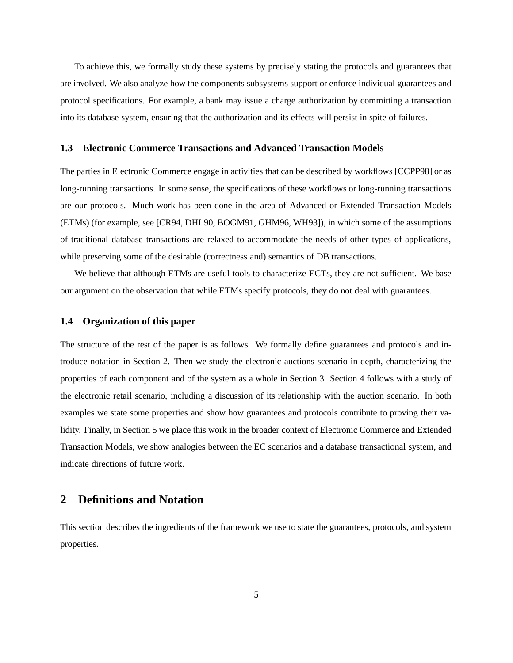To achieve this, we formally study these systems by precisely stating the protocols and guarantees that are involved. We also analyze how the components subsystems support or enforce individual guarantees and protocol specifications. For example, a bank may issue a charge authorization by committing a transaction into its database system, ensuring that the authorization and its effects will persist in spite of failures.

### **1.3 Electronic Commerce Transactions and Advanced Transaction Models**

The parties in Electronic Commerce engage in activities that can be described by workflows [CCPP98] or as long-running transactions. In some sense, the specifications of these workflows or long-running transactions are our protocols. Much work has been done in the area of Advanced or Extended Transaction Models (ETMs) (for example, see [CR94, DHL90, BOGM91, GHM96, WH93]), in which some of the assumptions of traditional database transactions are relaxed to accommodate the needs of other types of applications, while preserving some of the desirable (correctness and) semantics of DB transactions.

We believe that although ETMs are useful tools to characterize ECTs, they are not sufficient. We base our argument on the observation that while ETMs specify protocols, they do not deal with guarantees.

### **1.4 Organization of this paper**

The structure of the rest of the paper is as follows. We formally define guarantees and protocols and introduce notation in Section 2. Then we study the electronic auctions scenario in depth, characterizing the properties of each component and of the system as a whole in Section 3. Section 4 follows with a study of the electronic retail scenario, including a discussion of its relationship with the auction scenario. In both examples we state some properties and show how guarantees and protocols contribute to proving their validity. Finally, in Section 5 we place this work in the broader context of Electronic Commerce and Extended Transaction Models, we show analogies between the EC scenarios and a database transactional system, and indicate directions of future work.

# **2 Definitions and Notation**

This section describes the ingredients of the framework we use to state the guarantees, protocols, and system properties.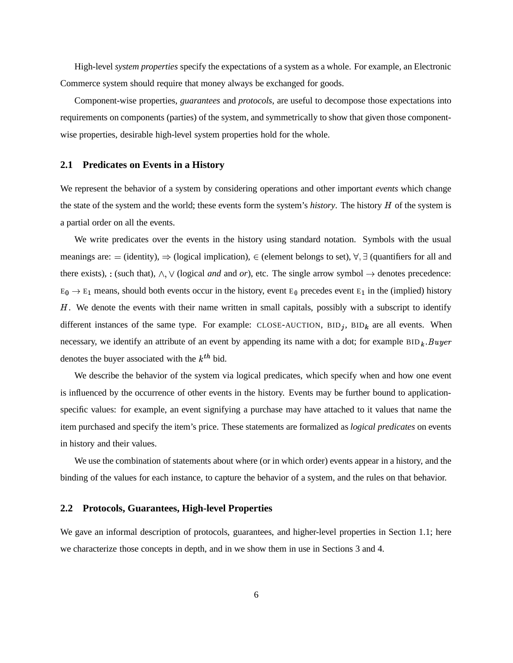High-level *system properties* specify the expectations of a system as a whole. For example, an Electronic Commerce system should require that money always be exchanged for goods.

Component-wise properties, *guarantees* and *protocols*, are useful to decompose those expectations into requirements on components (parties) of the system, and symmetrically to show that given those componentwise properties, desirable high-level system properties hold for the whole.

## **2.1 Predicates on Events in a History**

We represent the behavior of a system by considering operations and other important *events* which change the state of the system and the world; these events form the system's *history*. The history  $H$  of the system is a partial order on all the events.

We write predicates over the events in the history using standard notation. Symbols with the usual meanings are:  $=$  (identity),  $\Rightarrow$  (logical implication),  $\in$  (element belongs to set),  $\forall$ ,  $\exists$  (quantifiers for all and there exists), : (such that),  $\land$ ,  $\lor$  (logical *and* and *or*), etc. The single arrow symbol  $\rightarrow$  denotes precedence:  $E_0 \rightarrow E_1$  means, should both events occur in the history, event  $E_0$  precedes event  $E_1$  in the (implied) history . We denote the events with their name written in small capitals, possibly with a subscript to identify different instances of the same type. For example: CLOSE-AUCTION,  $BID_i$ ,  $BID_k$  are all events. When necessary, we identify an attribute of an event by appending its name with a dot; for example  $BID_k.Buyer$ denotes the buyer associated with the  $k^{th}$  bid.

We describe the behavior of the system via logical predicates, which specify when and how one event is influenced by the occurrence of other events in the history. Events may be further bound to applicationspecific values: for example, an event signifying a purchase may have attached to it values that name the item purchased and specify the item's price. These statements are formalized as *logical predicates* on events in history and their values.

We use the combination of statements about where (or in which order) events appear in a history, and the binding of the values for each instance, to capture the behavior of a system, and the rules on that behavior.

#### **2.2 Protocols, Guarantees, High-level Properties**

We gave an informal description of protocols, guarantees, and higher-level properties in Section 1.1; here we characterize those concepts in depth, and in we show them in use in Sections 3 and 4.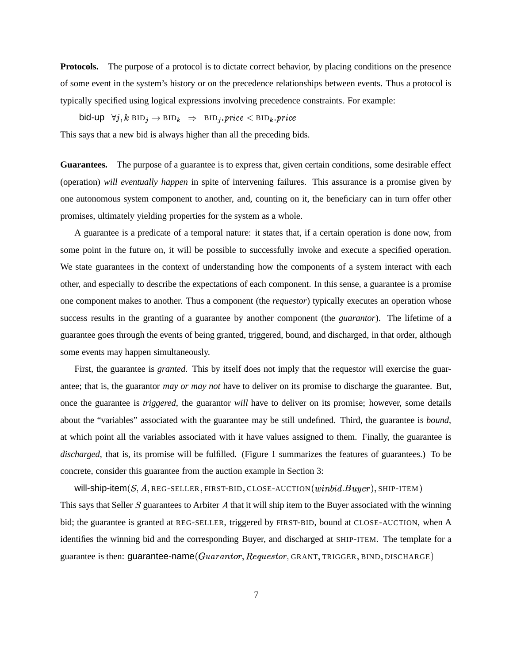**Protocols.** The purpose of a protocol is to dictate correct behavior, by placing conditions on the presence of some event in the system's history or on the precedence relationships between events. Thus a protocol is typically specified using logical expressions involving precedence constraints. For example:

bid-up  $\forall j, k \text{ BID}_j \rightarrow \text{BID}_k \Rightarrow \text{ BID}_j \text{. price} < \text{BID}_k \text{. price}$ 

This says that a new bid is always higher than all the preceding bids.

**Guarantees.** The purpose of a guarantee is to express that, given certain conditions, some desirable effect (operation) *will eventually happen* in spite of intervening failures. This assurance is a promise given by one autonomous system component to another, and, counting on it, the beneficiary can in turn offer other promises, ultimately yielding properties for the system as a whole.

A guarantee is a predicate of a temporal nature: it states that, if a certain operation is done now, from some point in the future on, it will be possible to successfully invoke and execute a specified operation. We state guarantees in the context of understanding how the components of a system interact with each other, and especially to describe the expectations of each component. In this sense, a guarantee is a promise one component makes to another. Thus a component (the *requestor*) typically executes an operation whose success results in the granting of a guarantee by another component (the *guarantor*). The lifetime of a guarantee goes through the events of being granted, triggered, bound, and discharged, in that order, although some events may happen simultaneously.

First, the guarantee is *granted*. This by itself does not imply that the requestor will exercise the guarantee; that is, the guarantor *may or may not* have to deliver on its promise to discharge the guarantee. But, once the guarantee is *triggered*, the guarantor *will* have to deliver on its promise; however, some details about the "variables" associated with the guarantee may be still undefined. Third, the guarantee is *bound*, at which point all the variables associated with it have values assigned to them. Finally, the guarantee is *discharged*, that is, its promise will be fulfilled. (Figure 1 summarizes the features of guarantees.) To be concrete, consider this guarantee from the auction example in Section 3:

will-ship-item $(S,A,\texttt{REG-SELECT},\texttt{FIRST-BID},\texttt{CLOSE-AUCTION}(\textit{winbid}.Buyer),\texttt{SHIP-ITEM})$ This says that Seller  $S$  guarantees to Arbiter  $A$  that it will ship item to the Buyer associated with the winning bid; the guarantee is granted at REG-SELLER, triggered by FIRST-BID, bound at CLOSE-AUCTION, when A identifies the winning bid and the corresponding Buyer, and discharged at SHIP-ITEM. The template for a guarantee is then: guarantee-name  $(Guarantor, Requestor, GRANT, TRIGGER, BIND, DISCHARGE)$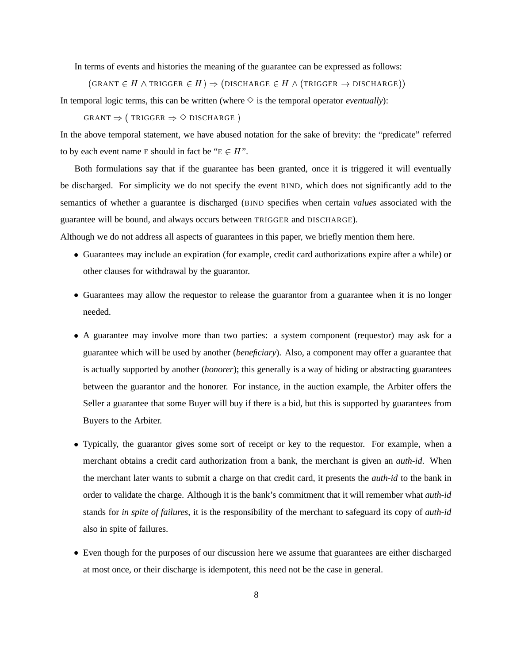In terms of events and histories the meaning of the guarantee can be expressed as follows:

 $(\text{\texttt{GRANT}}\in H \wedge \text{\texttt{TRIGGER}}\in H) \Rightarrow (\text{\texttt{DISCHARGE}}\in H \wedge (\text{\texttt{TRIGGER}}\rightarrow \text{\texttt{DISCHARGE}}))$ 

In temporal logic terms, this can be written (where  $\diamond$  is the temporal operator *eventually*):

GRANT  $\Rightarrow$  ( <code>TRIGGER</code>  $\Rightarrow$   $\diamond$  <code>DISCHARGE</code> )

In the above temporal statement, we have abused notation for the sake of brevity: the "predicate" referred to by each event name E should in fact be " $E \in H$ ".

Both formulations say that if the guarantee has been granted, once it is triggered it will eventually be discharged. For simplicity we do not specify the event BIND, which does not significantly add to the semantics of whether a guarantee is discharged (BIND specifies when certain *values* associated with the guarantee will be bound, and always occurs between TRIGGER and DISCHARGE).

Although we do not address all aspects of guarantees in this paper, we briefly mention them here.

- Guarantees may include an expiration (for example, credit card authorizations expire after a while) or other clauses for withdrawal by the guarantor.
- Guarantees may allow the requestor to release the guarantor from a guarantee when it is no longer needed.
- A guarantee may involve more than two parties: a system component (requestor) may ask for a guarantee which will be used by another (*beneficiary*). Also, a component may offer a guarantee that is actually supported by another (*honorer*); this generally is a way of hiding or abstracting guarantees between the guarantor and the honorer. For instance, in the auction example, the Arbiter offers the Seller a guarantee that some Buyer will buy if there is a bid, but this is supported by guarantees from Buyers to the Arbiter.
- Typically, the guarantor gives some sort of receipt or key to the requestor. For example, when a merchant obtains a credit card authorization from a bank, the merchant is given an *auth-id*. When the merchant later wants to submit a charge on that credit card, it presents the *auth-id* to the bank in order to validate the charge. Although it is the bank's commitment that it will remember what *auth-id* stands for *in spite of failures*, it is the responsibility of the merchant to safeguard its copy of *auth-id* also in spite of failures.
- Even though for the purposes of our discussion here we assume that guarantees are either discharged at most once, or their discharge is idempotent, this need not be the case in general.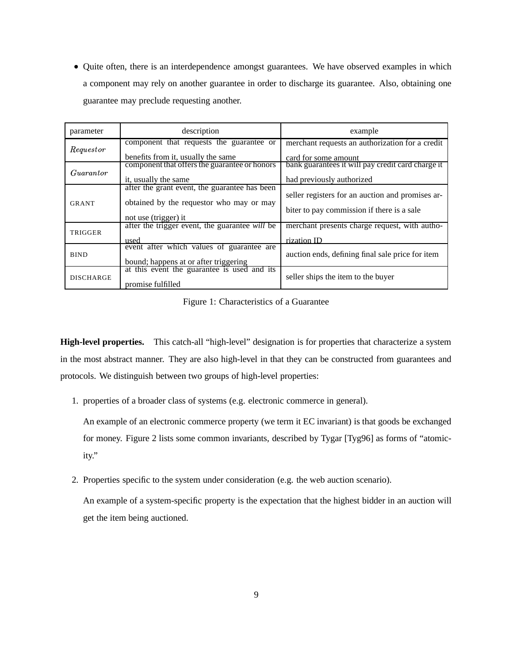Quite often, there is an interdependence amongst guarantees. We have observed examples in which a component may rely on another guarantee in order to discharge its guarantee. Also, obtaining one guarantee may preclude requesting another.

| parameter        | description                                    | example                                           |
|------------------|------------------------------------------------|---------------------------------------------------|
| Requestor        | component that requests the guarantee or       | merchant requests an authorization for a credit   |
|                  | benefits from it, usually the same             | card for some amount                              |
| Guarantor        | component that offers the guarantee or honors  | bank guarantees it will pay credit card charge it |
|                  | it, usually the same                           | had previously authorized                         |
| <b>GRANT</b>     | after the grant event, the guarantee has been  | seller registers for an auction and promises ar-  |
|                  | obtained by the requestor who may or may       |                                                   |
|                  | not use (trigger) it                           | biter to pay commission if there is a sale        |
| TRIGGER          | after the trigger event, the guarantee will be | merchant presents charge request, with autho-     |
|                  | used                                           | rization ID                                       |
| <b>BIND</b>      | event after which values of guarantee are      | auction ends, defining final sale price for item  |
|                  | bound; happens at or after triggering          |                                                   |
| <b>DISCHARGE</b> | at this event the guarantee is used and its    | seller ships the item to the buyer                |
|                  | promise fulfilled                              |                                                   |

Figure 1: Characteristics of a Guarantee

**High-level properties.** This catch-all "high-level" designation is for properties that characterize a system in the most abstract manner. They are also high-level in that they can be constructed from guarantees and protocols. We distinguish between two groups of high-level properties:

1. properties of a broader class of systems (e.g. electronic commerce in general).

An example of an electronic commerce property (we term it EC invariant) is that goods be exchanged for money. Figure 2 lists some common invariants, described by Tygar [Tyg96] as forms of "atomicity."

2. Properties specific to the system under consideration (e.g. the web auction scenario).

An example of a system-specific property is the expectation that the highest bidder in an auction will get the item being auctioned.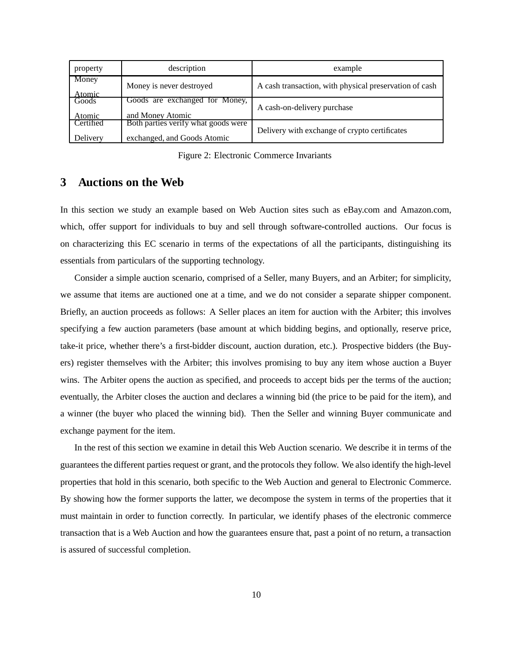| property              | description                                                        | example                                                |
|-----------------------|--------------------------------------------------------------------|--------------------------------------------------------|
| Money<br>Atomic       | Money is never destroyed                                           | A cash transaction, with physical preservation of cash |
| Goods<br>Atomic       | Goods are exchanged for Money,<br>and Money Atomic                 | A cash-on-delivery purchase                            |
| Certified<br>Delivery | Both parties verify what goods were<br>exchanged, and Goods Atomic | Delivery with exchange of crypto certificates          |

Figure 2: Electronic Commerce Invariants

# **3 Auctions on the Web**

In this section we study an example based on Web Auction sites such as eBay.com and Amazon.com, which, offer support for individuals to buy and sell through software-controlled auctions. Our focus is on characterizing this EC scenario in terms of the expectations of all the participants, distinguishing its essentials from particulars of the supporting technology.

Consider a simple auction scenario, comprised of a Seller, many Buyers, and an Arbiter; for simplicity, we assume that items are auctioned one at a time, and we do not consider a separate shipper component. Briefly, an auction proceeds as follows: A Seller places an item for auction with the Arbiter; this involves specifying a few auction parameters (base amount at which bidding begins, and optionally, reserve price, take-it price, whether there's a first-bidder discount, auction duration, etc.). Prospective bidders (the Buyers) register themselves with the Arbiter; this involves promising to buy any item whose auction a Buyer wins. The Arbiter opens the auction as specified, and proceeds to accept bids per the terms of the auction; eventually, the Arbiter closes the auction and declares a winning bid (the price to be paid for the item), and a winner (the buyer who placed the winning bid). Then the Seller and winning Buyer communicate and exchange payment for the item.

In the rest of this section we examine in detail this Web Auction scenario. We describe it in terms of the guarantees the different parties request or grant, and the protocols they follow. We also identify the high-level properties that hold in this scenario, both specific to the Web Auction and general to Electronic Commerce. By showing how the former supports the latter, we decompose the system in terms of the properties that it must maintain in order to function correctly. In particular, we identify phases of the electronic commerce transaction that is a Web Auction and how the guarantees ensure that, past a point of no return, a transaction is assured of successful completion.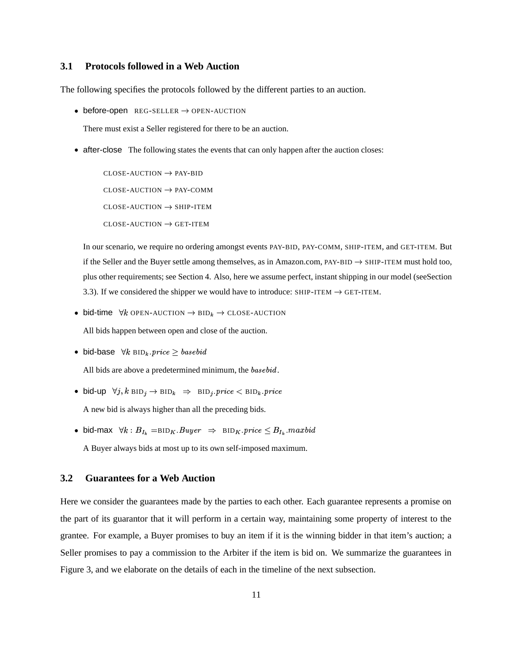### **3.1 Protocols followed in a Web Auction**

The following specifies the protocols followed by the different parties to an auction.

 $\bullet$  before-open  ${\rm REG\text{-}SELECT} \to {\rm OPER\text{-}AUCTION}$ 

There must exist a Seller registered for there to be an auction.

• after-close The following states the events that can only happen after the auction closes:

 $\text{CLOSE-AUCTION} \rightarrow \text{PAY-BID}$  $\text{CLOSE-AUCTION} \rightarrow \text{PAY-COMM}$  $\text{CLOSE-AUCTION} \rightarrow \text{SHIP-ITEM}$  $\text{CLOSE-AUCTION} \rightarrow \text{GET-ITEM}$ 

In our scenario, we require no ordering amongst events PAY-BID, PAY-COMM, SHIP-ITEM, and GET-ITEM. But if the Seller and the Buyer settle among themselves, as in Amazon.com,  $PAY-BID \rightarrow SHIP-ITEM$  must hold too, plus other requirements; see Section 4. Also, here we assume perfect, instant shipping in our model (seeSection 3.3). If we considered the shipper we would have to introduce:  $SHIP-ITEM \rightarrow GET-ITEM$ .

• bid-time  $\forall k$  open-AUCTION  $\rightarrow$  BID<sub>k</sub>  $\rightarrow$  CLOSE-AUCTION

All bids happen between open and close of the auction.

 $\bullet$  bid-base  $\forall k$  BID<sub>k</sub>.price  $\geq$  basebid

All bids are above a predetermined minimum, the basebid.

• bid-up  $\forall j, k \text{ BID}_j \rightarrow \text{BID}_k \Rightarrow \text{ BID}_j \text{ price} < \text{BID}_k \text{ price}$ 

A new bid is always higher than all the preceding bids.

• bid-max  $\forall k: B_{I_k} = \text{BID}_K.Buyer \ \Rightarrow \ \text{BID}_K-price} \leq B_{I_k}.maxbid$ A Buyer always bids at most up to its own self-imposed maximum.

## **3.2 Guarantees for a Web Auction**

Here we consider the guarantees made by the parties to each other. Each guarantee represents a promise on the part of its guarantor that it will perform in a certain way, maintaining some property of interest to the grantee. For example, a Buyer promises to buy an item if it is the winning bidder in that item's auction; a Seller promises to pay a commission to the Arbiter if the item is bid on. We summarize the guarantees in Figure 3, and we elaborate on the details of each in the timeline of the next subsection.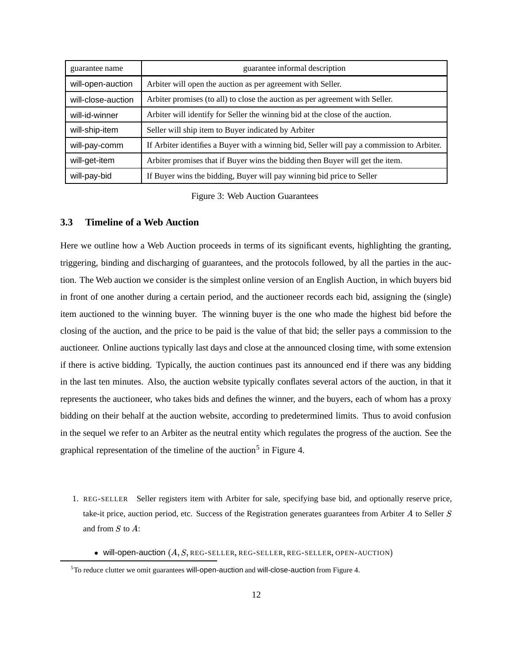| guarantee name     | guarantee informal description                                                             |
|--------------------|--------------------------------------------------------------------------------------------|
| will-open-auction  | Arbiter will open the auction as per agreement with Seller.                                |
| will-close-auction | Arbiter promises (to all) to close the auction as per agreement with Seller.               |
| will-id-winner     | Arbiter will identify for Seller the winning bid at the close of the auction.              |
| will-ship-item     | Seller will ship item to Buyer indicated by Arbiter                                        |
| will-pay-comm      | If Arbiter identifies a Buyer with a winning bid, Seller will pay a commission to Arbiter. |
| will-get-item      | Arbiter promises that if Buyer wins the bidding then Buyer will get the item.              |
| will-pay-bid       | If Buyer wins the bidding, Buyer will pay winning bid price to Seller                      |

Figure 3: Web Auction Guarantees

## **3.3 Timeline of a Web Auction**

Here we outline how a Web Auction proceeds in terms of its significant events, highlighting the granting, triggering, binding and discharging of guarantees, and the protocols followed, by all the parties in the auction. The Web auction we consider is the simplest online version of an English Auction, in which buyers bid in front of one another during a certain period, and the auctioneer records each bid, assigning the (single) item auctioned to the winning buyer. The winning buyer is the one who made the highest bid before the closing of the auction, and the price to be paid is the value of that bid; the seller pays a commission to the auctioneer. Online auctions typically last days and close at the announced closing time, with some extension if there is active bidding. Typically, the auction continues past its announced end if there was any bidding in the last ten minutes. Also, the auction website typically conflates several actors of the auction, in that it represents the auctioneer, who takes bids and defines the winner, and the buyers, each of whom has a proxy bidding on their behalf at the auction website, according to predetermined limits. Thus to avoid confusion in the sequel we refer to an Arbiter as the neutral entity which regulates the progress of the auction. See the graphical representation of the timeline of the auction<sup>5</sup> in Figure 4.

- 1. REG-SELLER Seller registers item with Arbiter for sale, specifying base bid, and optionally reserve price, take-it price, auction period, etc. Success of the Registration generates guarantees from Arbiter  $A$  to Seller  $S$ and from  $S$  to  $A$ :
	- $\bullet \;$  will-open-auction  $(A, S, \text{\tiny REG-SELECT}, \text{\tiny REG-SELECT}, \text{\tiny REG-SELECT}, \text{\tiny REG-SELECT}, \text{\tiny OPEN-AUTION})$

<sup>&</sup>lt;sup>5</sup>To reduce clutter we omit guarantees will-open-auction and will-close-auction from Figure 4.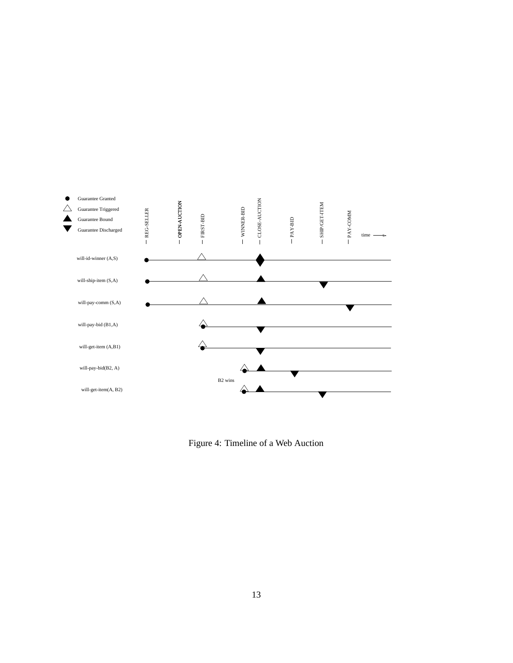

Figure 4: Timeline of a Web Auction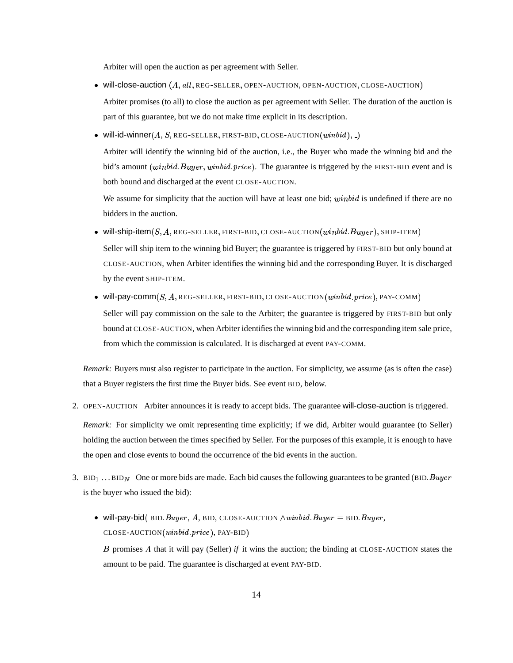Arbiter will open the auction as per agreement with Seller.

- $\bullet \;$  will-close-auction  $(A, \mathit{all}, \texttt{REG-SELECT}, \texttt{OPEN-AUCTION}, \texttt{OPEN-AUCTION}, \texttt{CLOSE-AUCTION})$ Arbiter promises (to all) to close the auction as per agreement with Seller. The duration of the auction is part of this guarantee, but we do not make time explicit in its description.
- $\bullet \;$  will-id-winner $(A, S, \text{\tiny REG-SELECT-RED}, \text{\tiny CLOSE-AUTION}(\textit{winbid}), \; \_)$

Arbiter will identify the winning bid of the auction, i.e., the Buyer who made the winning bid and the bid's amount  $(whichBuyer, window, price)$ . The guarantee is triggered by the FIRST-BID event and is both bound and discharged at the event CLOSE-AUCTION.

We assume for simplicity that the auction will have at least one bid;  $winbid$  is undefined if there are no bidders in the auction.

- $\bullet \;$  will-ship-item $(S, A, \texttt{REG-SELECT-BID}, \texttt{CLOSE-AUCTION} (which id. Buyer), \texttt{SHIP-ITEM})$ Seller will ship item to the winning bid Buyer; the guarantee is triggered by FIRST-BID but only bound at CLOSE-AUCTION, when Arbiter identifies the winning bid and the corresponding Buyer. It is discharged by the event SHIP-ITEM.
- $\bullet \;$  will-pay-comm $(S, A, \texttt{REG-SELECT}, \texttt{FIRST-BID}, \texttt{CLOSE-AUCTION}(\textit{winbid.price}), \texttt{PAY-COMM})$

Seller will pay commission on the sale to the Arbiter; the guarantee is triggered by FIRST-BID but only bound at CLOSE-AUCTION, when Arbiter identifies the winning bid and the corresponding item sale price, from which the commission is calculated. It is discharged at event PAY-COMM.

*Remark:* Buyers must also register to participate in the auction. For simplicity, we assume (as is often the case) that a Buyer registers the first time the Buyer bids. See event BID, below.

- 2. OPEN-AUCTION Arbiter announces it is ready to accept bids. The guarantee will-close-auction is triggered. *Remark:* For simplicity we omit representing time explicitly; if we did, Arbiter would guarantee (to Seller) holding the auction between the times specified by Seller. For the purposes of this example, it is enough to have
- 3. BID<sub>1</sub> ... BID<sub>N</sub> One or more bids are made. Each bid causes the following guarantees to be granted (BID  $. Buyer$ is the buyer who issued the bid):
	- $\bullet \,$  will-pay-bid( <code>BID.Buyer, A, BID, CLOSE-AUCTION</code>  $\wedge$   $\wedge$   $\wedge$   $\wedge$   $\wedge$   $\wedge$   $\wedge$   $\wedge$   $\wedge$   $\wedge$   $\wedge$   $\wedge$   $\wedge$   $\wedge$   $\wedge$   $\wedge$   $\wedge$   $\wedge$   $\wedge$   $\wedge$   $\wedge$  $\texttt{CLOSE-AUCTION}(\textit{winbid. price}), \text{ PAY-BID})$

the open and close events to bound the occurrence of the bid events in the auction.

B promises A that it will pay (Seller) *if* it wins the auction; the binding at CLOSE-AUCTION states the amount to be paid. The guarantee is discharged at event PAY-BID.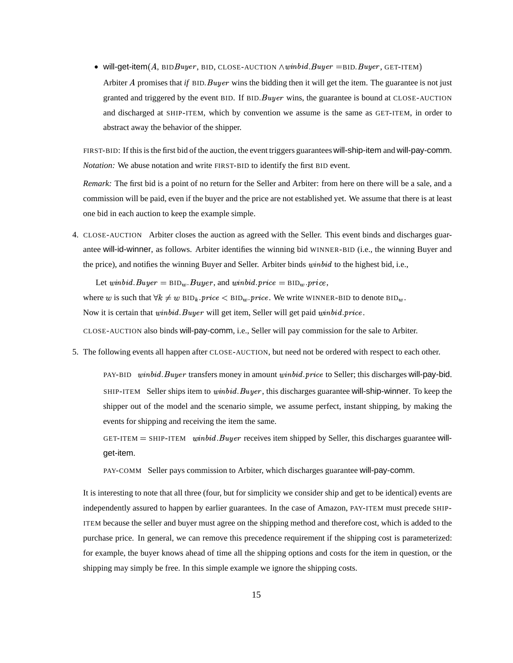• will-get-item(A,  $\text{BID} \text{Buger}$ ,  $\text{BID}$ , CLOSE-AUCTION  $\wedge \text{winbid}$ . Buyer = $\text{BID}$ . Buyer, GET-ITEM) Arbiter  $A$  promises that *if* BID. Buyer wins the bidding then it will get the item. The guarantee is not just granted and triggered by the event BID. If  $BID.Buyer$  wins, the guarantee is bound at CLOSE-AUCTION and discharged at SHIP-ITEM, which by convention we assume is the same as GET-ITEM, in order to abstract away the behavior of the shipper.

FIRST-BID: If this is the first bid of the auction, the event triggers guarantees will-ship-item and will-pay-comm. *Notation:* We abuse notation and write FIRST-BID to identify the first BID event.

*Remark:* The first bid is a point of no return for the Seller and Arbiter: from here on there will be a sale, and a commission will be paid, even if the buyer and the price are not established yet. We assume that there is at least one bid in each auction to keep the example simple.

4. CLOSE-AUCTION Arbiter closes the auction as agreed with the Seller. This event binds and discharges guarantee will-id-winner, as follows. Arbiter identifies the winning bid WINNER-BID (i.e., the winning Buyer and the price), and notifies the winning Buyer and Seller. Arbiter binds *winbid* to the highest bid, i.e.,

Let  $\emph{window}.Buyer = \text{BID}_w.Buyer,$  and  $\emph{window}.price = \text{BID}_w.price,$ 

where w is such that  $\forall k \neq w$  BID<sub>k</sub> price  $<$  BID<sub>w</sub> price. We write WINNER-BID to denote BID<sub>w</sub>.

Now it is certain that *winbid. Buyer* will get item, Seller will get paid *winbid. price.* 

CLOSE-AUCTION also binds will-pay-comm, i.e., Seller will pay commission for the sale to Arbiter.

5. The following events all happen after CLOSE-AUCTION, but need not be ordered with respect to each other.

PAY-BID winbid. Buyer transfers money in amount winbid. price to Seller; this discharges will-pay-bid. SHIP-ITEM Seller ships item to  $\textit{wintbid}$ . Buyer, this discharges guarantee will-ship-winner. To keep the shipper out of the model and the scenario simple, we assume perfect, instant shipping, by making the events for shipping and receiving the item the same.

GET-ITEM = SHIP-ITEM  $\textit{winbid}$ . Buyer receives item shipped by Seller, this discharges guarantee willget-item.

PAY-COMM Seller pays commission to Arbiter, which discharges guarantee will-pay-comm.

It is interesting to note that all three (four, but for simplicity we consider ship and get to be identical) events are independently assured to happen by earlier guarantees. In the case of Amazon, PAY-ITEM must precede SHIP-ITEM because the seller and buyer must agree on the shipping method and therefore cost, which is added to the purchase price. In general, we can remove this precedence requirement if the shipping cost is parameterized: for example, the buyer knows ahead of time all the shipping options and costs for the item in question, or the shipping may simply be free. In this simple example we ignore the shipping costs.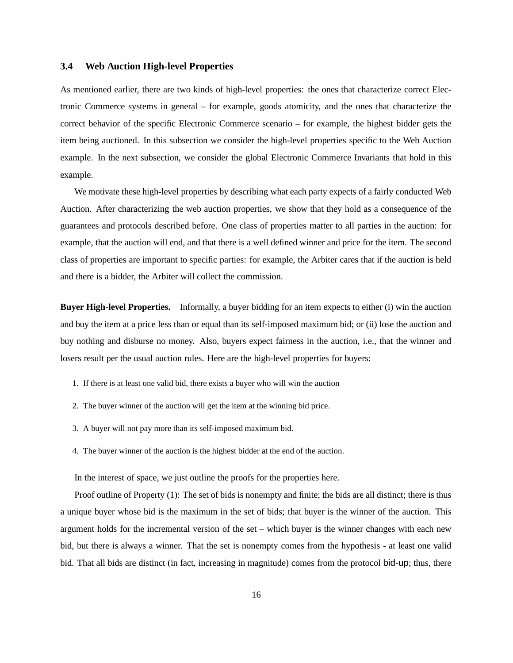#### **3.4 Web Auction High-level Properties**

As mentioned earlier, there are two kinds of high-level properties: the ones that characterize correct Electronic Commerce systems in general – for example, goods atomicity, and the ones that characterize the correct behavior of the specific Electronic Commerce scenario – for example, the highest bidder gets the item being auctioned. In this subsection we consider the high-level properties specific to the Web Auction example. In the next subsection, we consider the global Electronic Commerce Invariants that hold in this example.

We motivate these high-level properties by describing what each party expects of a fairly conducted Web Auction. After characterizing the web auction properties, we show that they hold as a consequence of the guarantees and protocols described before. One class of properties matter to all parties in the auction: for example, that the auction will end, and that there is a well defined winner and price for the item. The second class of properties are important to specific parties: for example, the Arbiter cares that if the auction is held and there is a bidder, the Arbiter will collect the commission.

**Buyer High-level Properties.** Informally, a buyer bidding for an item expects to either (i) win the auction and buy the item at a price less than or equal than its self-imposed maximum bid; or (ii) lose the auction and buy nothing and disburse no money. Also, buyers expect fairness in the auction, i.e., that the winner and losers result per the usual auction rules. Here are the high-level properties for buyers:

- 1. If there is at least one valid bid, there exists a buyer who will win the auction
- 2. The buyer winner of the auction will get the item at the winning bid price.
- 3. A buyer will not pay more than its self-imposed maximum bid.
- 4. The buyer winner of the auction is the highest bidder at the end of the auction.

In the interest of space, we just outline the proofs for the properties here.

Proof outline of Property (1): The set of bids is nonempty and finite; the bids are all distinct; there is thus a unique buyer whose bid is the maximum in the set of bids; that buyer is the winner of the auction. This argument holds for the incremental version of the set – which buyer is the winner changes with each new bid, but there is always a winner. That the set is nonempty comes from the hypothesis - at least one valid bid. That all bids are distinct (in fact, increasing in magnitude) comes from the protocol bid-up; thus, there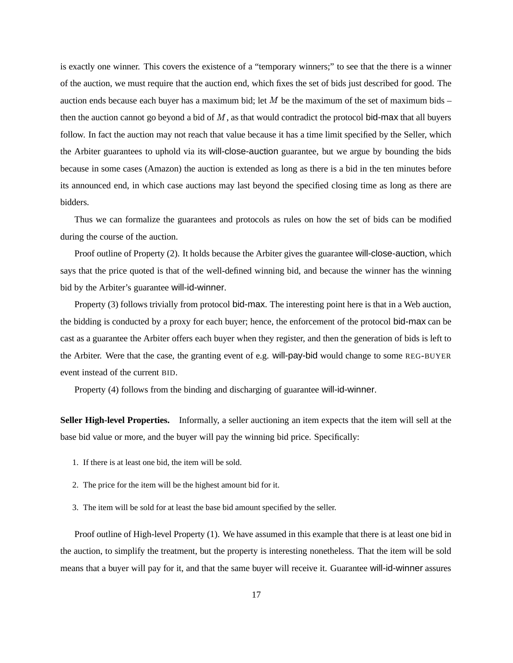is exactly one winner. This covers the existence of a "temporary winners;" to see that the there is a winner of the auction, we must require that the auction end, which fixes the set of bids just described for good. The auction ends because each buyer has a maximum bid; let  $M$  be the maximum of the set of maximum bids  $$ then the auction cannot go beyond a bid of  $M$ , as that would contradict the protocol bid-max that all buyers follow. In fact the auction may not reach that value because it has a time limit specified by the Seller, which the Arbiter guarantees to uphold via its will-close-auction guarantee, but we argue by bounding the bids because in some cases (Amazon) the auction is extended as long as there is a bid in the ten minutes before its announced end, in which case auctions may last beyond the specified closing time as long as there are bidders.

Thus we can formalize the guarantees and protocols as rules on how the set of bids can be modified during the course of the auction.

Proof outline of Property (2). It holds because the Arbiter gives the guarantee will-close-auction, which says that the price quoted is that of the well-defined winning bid, and because the winner has the winning bid by the Arbiter's guarantee will-id-winner.

Property (3) follows trivially from protocol bid-max. The interesting point here is that in a Web auction, the bidding is conducted by a proxy for each buyer; hence, the enforcement of the protocol bid-max can be cast as a guarantee the Arbiter offers each buyer when they register, and then the generation of bids is left to the Arbiter. Were that the case, the granting event of e.g. will-pay-bid would change to some REG-BUYER event instead of the current BID.

Property (4) follows from the binding and discharging of guarantee will-id-winner.

**Seller High-level Properties.** Informally, a seller auctioning an item expects that the item will sell at the base bid value or more, and the buyer will pay the winning bid price. Specifically:

- 1. If there is at least one bid, the item will be sold.
- 2. The price for the item will be the highest amount bid for it.
- 3. The item will be sold for at least the base bid amount specified by the seller.

Proof outline of High-level Property (1). We have assumed in this example that there is at least one bid in the auction, to simplify the treatment, but the property is interesting nonetheless. That the item will be sold means that a buyer will pay for it, and that the same buyer will receive it. Guarantee will-id-winner assures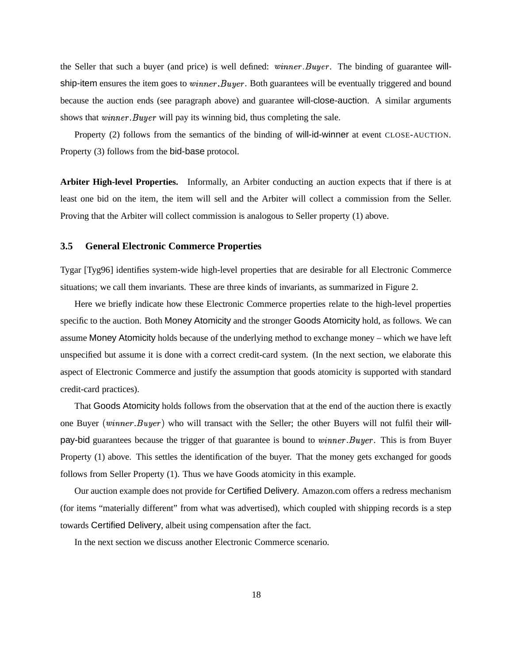the Seller that such a buyer (and price) is well defined: winner. Buyer. The binding of guarantee willship-item ensures the item goes to winner. Buyer. Both guarantees will be eventually triggered and bound because the auction ends (see paragraph above) and guarantee will-close-auction. A similar arguments shows that winner. Buyer will pay its winning bid, thus completing the sale.

Property (2) follows from the semantics of the binding of will-id-winner at event CLOSE-AUCTION. Property (3) follows from the bid-base protocol.

**Arbiter High-level Properties.** Informally, an Arbiter conducting an auction expects that if there is at least one bid on the item, the item will sell and the Arbiter will collect a commission from the Seller. Proving that the Arbiter will collect commission is analogous to Seller property (1) above.

## **3.5 General Electronic Commerce Properties**

Tygar [Tyg96] identifies system-wide high-level properties that are desirable for all Electronic Commerce situations; we call them invariants. These are three kinds of invariants, as summarized in Figure 2.

Here we briefly indicate how these Electronic Commerce properties relate to the high-level properties specific to the auction. Both Money Atomicity and the stronger Goods Atomicity hold, as follows. We can assume Money Atomicity holds because of the underlying method to exchange money – which we have left unspecified but assume it is done with a correct credit-card system. (In the next section, we elaborate this aspect of Electronic Commerce and justify the assumption that goods atomicity is supported with standard credit-card practices).

That Goods Atomicity holds follows from the observation that at the end of the auction there is exactly one Buyer  $(winner.Buyer)$  who will transact with the Seller; the other Buyers will not fulfil their willpay-bid guarantees because the trigger of that guarantee is bound to  $winner.Buyer$ . This is from Buyer Property (1) above. This settles the identification of the buyer. That the money gets exchanged for goods follows from Seller Property (1). Thus we have Goods atomicity in this example.

Our auction example does not provide for Certified Delivery. Amazon.com offers a redress mechanism (for items "materially different" from what was advertised), which coupled with shipping records is a step towards Certified Delivery, albeit using compensation after the fact.

In the next section we discuss another Electronic Commerce scenario.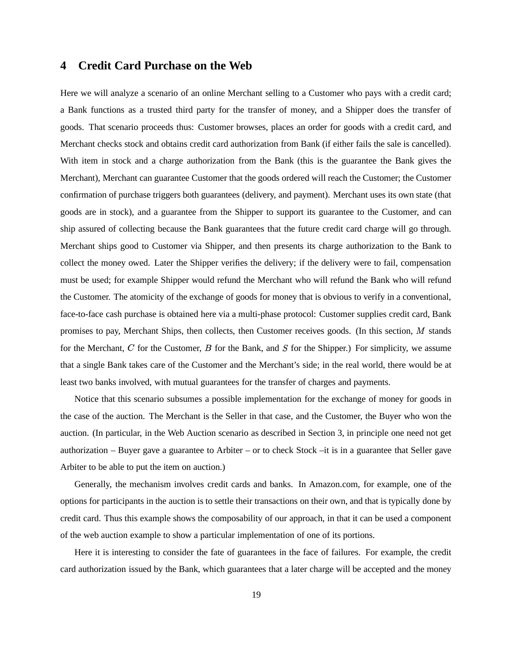# **4 Credit Card Purchase on the Web**

Here we will analyze a scenario of an online Merchant selling to a Customer who pays with a credit card; a Bank functions as a trusted third party for the transfer of money, and a Shipper does the transfer of goods. That scenario proceeds thus: Customer browses, places an order for goods with a credit card, and Merchant checks stock and obtains credit card authorization from Bank (if either fails the sale is cancelled). With item in stock and a charge authorization from the Bank (this is the guarantee the Bank gives the Merchant), Merchant can guarantee Customer that the goods ordered will reach the Customer; the Customer confirmation of purchase triggers both guarantees (delivery, and payment). Merchant uses its own state (that goods are in stock), and a guarantee from the Shipper to support its guarantee to the Customer, and can ship assured of collecting because the Bank guarantees that the future credit card charge will go through. Merchant ships good to Customer via Shipper, and then presents its charge authorization to the Bank to collect the money owed. Later the Shipper verifies the delivery; if the delivery were to fail, compensation must be used; for example Shipper would refund the Merchant who will refund the Bank who will refund the Customer. The atomicity of the exchange of goods for money that is obvious to verify in a conventional, face-to-face cash purchase is obtained here via a multi-phase protocol: Customer supplies credit card, Bank promises to pay, Merchant Ships, then collects, then Customer receives goods. (In this section, M stands for the Merchant,  $C$  for the Customer,  $B$  for the Bank, and  $S$  for the Shipper.) For simplicity, we assume that a single Bank takes care of the Customer and the Merchant's side; in the real world, there would be at least two banks involved, with mutual guarantees for the transfer of charges and payments.

Notice that this scenario subsumes a possible implementation for the exchange of money for goods in the case of the auction. The Merchant is the Seller in that case, and the Customer, the Buyer who won the auction. (In particular, in the Web Auction scenario as described in Section 3, in principle one need not get authorization – Buyer gave a guarantee to Arbiter – or to check Stock –it is in a guarantee that Seller gave Arbiter to be able to put the item on auction.)

Generally, the mechanism involves credit cards and banks. In Amazon.com, for example, one of the options for participants in the auction is to settle their transactions on their own, and that is typically done by credit card. Thus this example shows the composability of our approach, in that it can be used a component of the web auction example to show a particular implementation of one of its portions.

Here it is interesting to consider the fate of guarantees in the face of failures. For example, the credit card authorization issued by the Bank, which guarantees that a later charge will be accepted and the money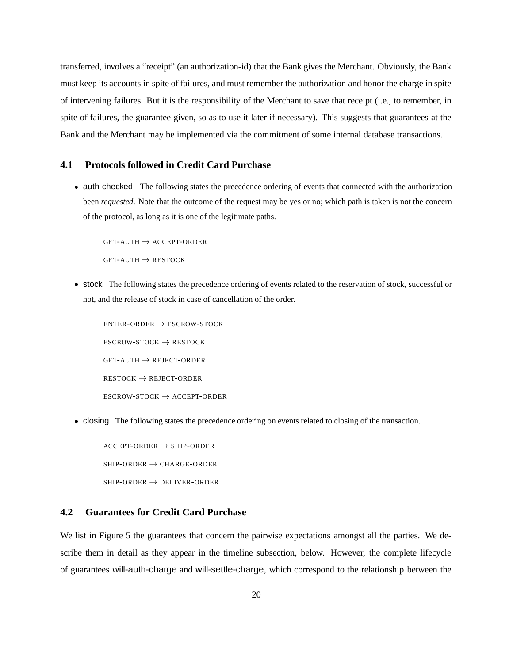transferred, involves a "receipt" (an authorization-id) that the Bank gives the Merchant. Obviously, the Bank must keep its accounts in spite of failures, and must remember the authorization and honor the charge in spite of intervening failures. But it is the responsibility of the Merchant to save that receipt (i.e., to remember, in spite of failures, the guarantee given, so as to use it later if necessary). This suggests that guarantees at the Bank and the Merchant may be implemented via the commitment of some internal database transactions.

### **4.1 Protocols followed in Credit Card Purchase**

• auth-checked The following states the precedence ordering of events that connected with the authorization been *requested*. Note that the outcome of the request may be yes or no; which path is taken is not the concern of the protocol, as long as it is one of the legitimate paths.

 $\texttt{GET-AUTH} \rightarrow \texttt{ACCEPT-ORDER}$  $GET-AUTH \rightarrow RESTOCK$ 

 stock The following states the precedence ordering of events related to the reservation of stock, successful or not, and the release of stock in case of cancellation of the order.

 $\texttt{ENTER-ORDER}\to\texttt{ESCROW-STOCK}$  $\texttt{ESCROW-STOCK} \rightarrow \texttt{RESTOCK}$  $\texttt{GET-AUTH} \rightarrow \texttt{REJECT-ORDER}$  $\texttt{RESTOCK} \rightarrow \texttt{REJECT-ORDER}$  $\texttt{ESCROW-STOCK} \rightarrow \texttt{ACCEPT-ORDER}$ 

closing The following states the precedence ordering on events related to closing of the transaction.

 $\mathrm{ACCEPT}\text{-}\mathrm{ORDER}\rightarrow\mathrm{SHIP}\text{-}\mathrm{ORDER}$  $\texttt{SHIP-ORDER} \rightarrow \texttt{CHARGE-ORDER}$  $SHIP-ORDER \rightarrow DELIVER-ORDER$ 

## **4.2 Guarantees for Credit Card Purchase**

We list in Figure 5 the guarantees that concern the pairwise expectations amongst all the parties. We describe them in detail as they appear in the timeline subsection, below. However, the complete lifecycle of guarantees will-auth-charge and will-settle-charge, which correspond to the relationship between the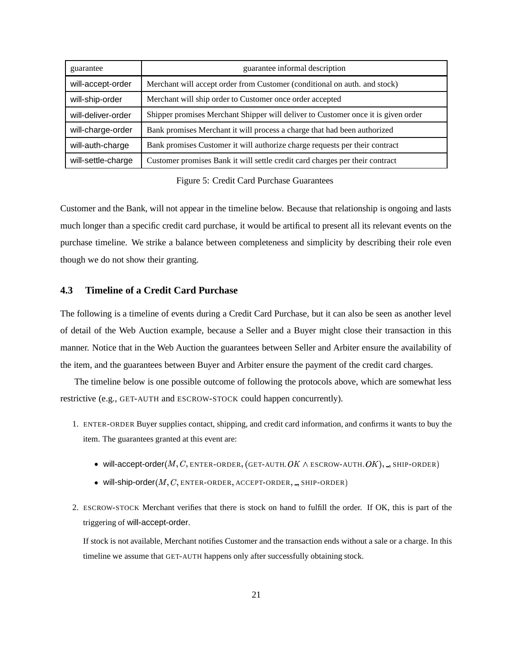| guarantee          | guarantee informal description                                                    |
|--------------------|-----------------------------------------------------------------------------------|
| will-accept-order  | Merchant will accept order from Customer (conditional on auth. and stock)         |
| will-ship-order    | Merchant will ship order to Customer once order accepted                          |
| will-deliver-order | Shipper promises Merchant Shipper will deliver to Customer once it is given order |
| will-charge-order  | Bank promises Merchant it will process a charge that had been authorized          |
| will-auth-charge   | Bank promises Customer it will authorize charge requests per their contract       |
| will-settle-charge | Customer promises Bank it will settle credit card charges per their contract      |

Figure 5: Credit Card Purchase Guarantees

Customer and the Bank, will not appear in the timeline below. Because that relationship is ongoing and lasts much longer than a specific credit card purchase, it would be artifical to present all its relevant events on the purchase timeline. We strike a balance between completeness and simplicity by describing their role even though we do not show their granting.

## **4.3 Timeline of a Credit Card Purchase**

The following is a timeline of events during a Credit Card Purchase, but it can also be seen as another level of detail of the Web Auction example, because a Seller and a Buyer might close their transaction in this manner. Notice that in the Web Auction the guarantees between Seller and Arbiter ensure the availability of the item, and the guarantees between Buyer and Arbiter ensure the payment of the credit card charges.

The timeline below is one possible outcome of following the protocols above, which are somewhat less restrictive (e.g., GET-AUTH and ESCROW-STOCK could happen concurrently).

- 1. ENTER-ORDER Buyer supplies contact, shipping, and credit card information, and confirms it wants to buy the item. The guarantees granted at this event are:
	- $\bullet \;$  will-accept-order( $M,C,$  enter-order, (GET-AUTH  $OK \wedge$  escrow-AUTH  $OK),$  ., SHIP-ORDER)
	- $\bullet\;$  will-ship-order $(M, C, {\tt ENTER-ORDER, ACCEPT-ORDER, ..}$   ${\tt SHIP-ORDER})$
- 2. ESCROW-STOCK Merchant verifies that there is stock on hand to fulfill the order. If OK, this is part of the triggering of will-accept-order.

If stock is not available, Merchant notifies Customer and the transaction ends without a sale or a charge. In this timeline we assume that GET-AUTH happens only after successfully obtaining stock.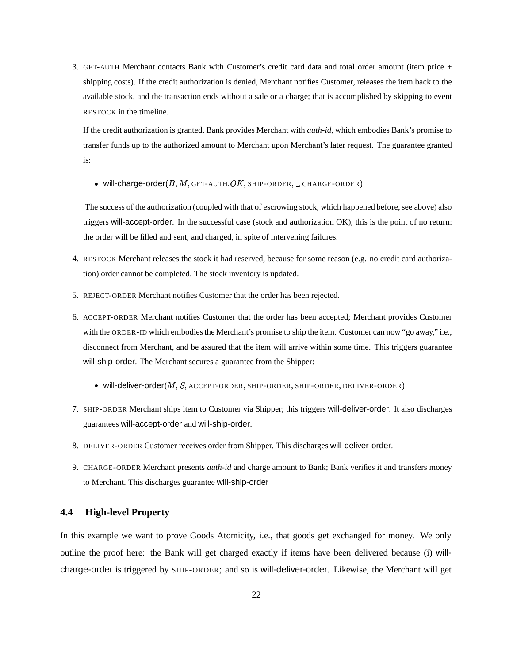3. GET-AUTH Merchant contacts Bank with Customer's credit card data and total order amount (item price + shipping costs). If the credit authorization is denied, Merchant notifies Customer, releases the item back to the available stock, and the transaction ends without a sale or a charge; that is accomplished by skipping to event RESTOCK in the timeline.

If the credit authorization is granted, Bank provides Merchant with *auth-id*, which embodies Bank's promise to transfer funds up to the authorized amount to Merchant upon Merchant's later request. The guarantee granted is:

 $\bullet\;$  will-charge-order $(B,M,\text{\tiny GET-AUTH.}\,OK,\text{\tiny SHIP-ORDER},$  .,  $\;$ CHARGE-ORDER $)$ 

The success of the authorization (coupled with that of escrowing stock, which happened before, see above) also triggers will-accept-order. In the successful case (stock and authorization OK), this is the point of no return: the order will be filled and sent, and charged, in spite of intervening failures.

- 4. RESTOCK Merchant releases the stock it had reserved, because for some reason (e.g. no credit card authorization) order cannot be completed. The stock inventory is updated.
- 5. REJECT-ORDER Merchant notifies Customer that the order has been rejected.
- 6. ACCEPT-ORDER Merchant notifies Customer that the order has been accepted; Merchant provides Customer with the ORDER-ID which embodies the Merchant's promise to ship the item. Customer can now "go away," i.e., disconnect from Merchant, and be assured that the item will arrive within some time. This triggers guarantee will-ship-order. The Merchant secures a guarantee from the Shipper:
	- $\bullet \;$  will-deliver-order $(M, S, {\rm ACCEPT\mbox{-}ORDER}, {\rm SHIP\mbox{-}ORDER}, {\rm SHIP\mbox{-}ORDER}, {\rm DELIVER\mbox{-}ORDER})$
- 7. SHIP-ORDER Merchant ships item to Customer via Shipper; this triggers will-deliver-order. It also discharges guarantees will-accept-order and will-ship-order.
- 8. DELIVER-ORDER Customer receives order from Shipper. This discharges will-deliver-order.
- 9. CHARGE-ORDER Merchant presents *auth-id* and charge amount to Bank; Bank verifies it and transfers money to Merchant. This discharges guarantee will-ship-order

### **4.4 High-level Property**

In this example we want to prove Goods Atomicity, i.e., that goods get exchanged for money. We only outline the proof here: the Bank will get charged exactly if items have been delivered because (i) willcharge-order is triggered by SHIP-ORDER; and so is will-deliver-order. Likewise, the Merchant will get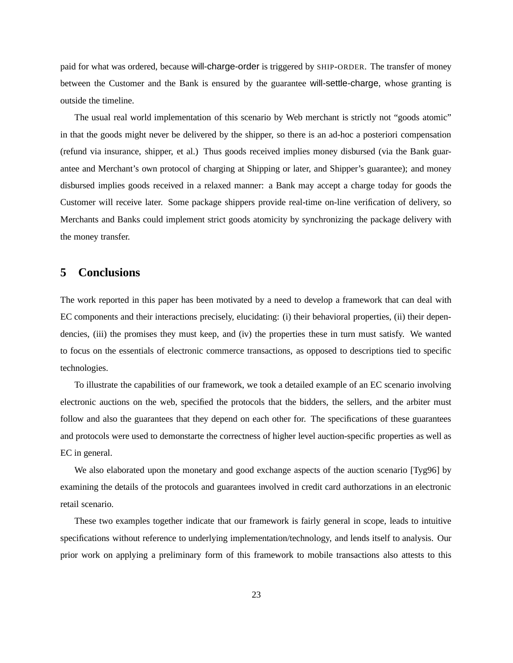paid for what was ordered, because will-charge-order is triggered by SHIP-ORDER. The transfer of money between the Customer and the Bank is ensured by the guarantee will-settle-charge, whose granting is outside the timeline.

The usual real world implementation of this scenario by Web merchant is strictly not "goods atomic" in that the goods might never be delivered by the shipper, so there is an ad-hoc a posteriori compensation (refund via insurance, shipper, et al.) Thus goods received implies money disbursed (via the Bank guarantee and Merchant's own protocol of charging at Shipping or later, and Shipper's guarantee); and money disbursed implies goods received in a relaxed manner: a Bank may accept a charge today for goods the Customer will receive later. Some package shippers provide real-time on-line verification of delivery, so Merchants and Banks could implement strict goods atomicity by synchronizing the package delivery with the money transfer.

# **5 Conclusions**

The work reported in this paper has been motivated by a need to develop a framework that can deal with EC components and their interactions precisely, elucidating: (i) their behavioral properties, (ii) their dependencies, (iii) the promises they must keep, and (iv) the properties these in turn must satisfy. We wanted to focus on the essentials of electronic commerce transactions, as opposed to descriptions tied to specific technologies.

To illustrate the capabilities of our framework, we took a detailed example of an EC scenario involving electronic auctions on the web, specified the protocols that the bidders, the sellers, and the arbiter must follow and also the guarantees that they depend on each other for. The specifications of these guarantees and protocols were used to demonstarte the correctness of higher level auction-specific properties as well as EC in general.

We also elaborated upon the monetary and good exchange aspects of the auction scenario [Tyg96] by examining the details of the protocols and guarantees involved in credit card authorzations in an electronic retail scenario.

These two examples together indicate that our framework is fairly general in scope, leads to intuitive specifications without reference to underlying implementation/technology, and lends itself to analysis. Our prior work on applying a preliminary form of this framework to mobile transactions also attests to this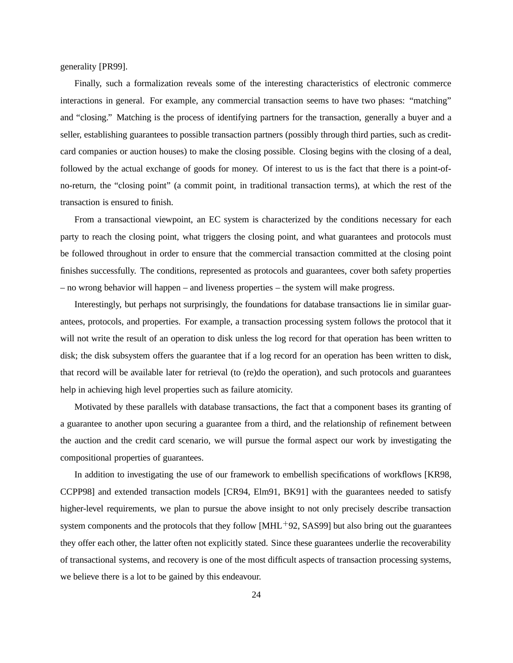generality [PR99].

Finally, such a formalization reveals some of the interesting characteristics of electronic commerce interactions in general. For example, any commercial transaction seems to have two phases: "matching" and "closing." Matching is the process of identifying partners for the transaction, generally a buyer and a seller, establishing guarantees to possible transaction partners (possibly through third parties, such as creditcard companies or auction houses) to make the closing possible. Closing begins with the closing of a deal, followed by the actual exchange of goods for money. Of interest to us is the fact that there is a point-ofno-return, the "closing point" (a commit point, in traditional transaction terms), at which the rest of the transaction is ensured to finish.

From a transactional viewpoint, an EC system is characterized by the conditions necessary for each party to reach the closing point, what triggers the closing point, and what guarantees and protocols must be followed throughout in order to ensure that the commercial transaction committed at the closing point finishes successfully. The conditions, represented as protocols and guarantees, cover both safety properties – no wrong behavior will happen – and liveness properties – the system will make progress.

Interestingly, but perhaps not surprisingly, the foundations for database transactions lie in similar guarantees, protocols, and properties. For example, a transaction processing system follows the protocol that it will not write the result of an operation to disk unless the log record for that operation has been written to disk; the disk subsystem offers the guarantee that if a log record for an operation has been written to disk, that record will be available later for retrieval (to (re)do the operation), and such protocols and guarantees help in achieving high level properties such as failure atomicity.

Motivated by these parallels with database transactions, the fact that a component bases its granting of a guarantee to another upon securing a guarantee from a third, and the relationship of refinement between the auction and the credit card scenario, we will pursue the formal aspect our work by investigating the compositional properties of guarantees.

In addition to investigating the use of our framework to embellish specifications of workflows [KR98, CCPP98] and extended transaction models [CR94, Elm91, BK91] with the guarantees needed to satisfy higher-level requirements, we plan to pursue the above insight to not only precisely describe transaction system components and the protocols that they follow [MHL<sup>+</sup>92, SAS99] but also bring out the guarantees they offer each other, the latter often not explicitly stated. Since these guarantees underlie the recoverability of transactional systems, and recovery is one of the most difficult aspects of transaction processing systems, we believe there is a lot to be gained by this endeavour.